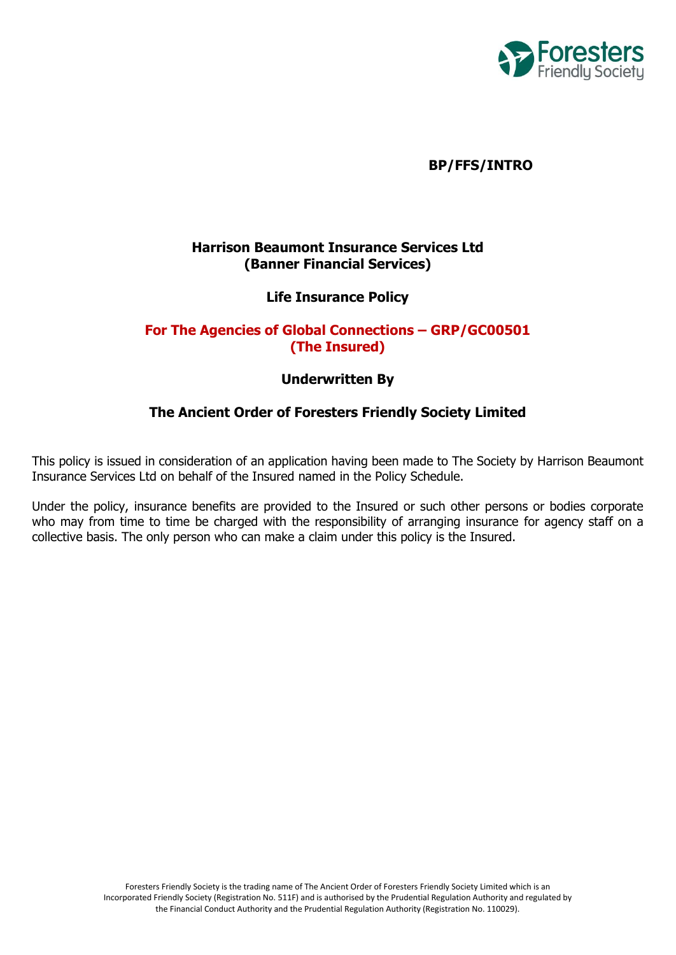

# **BP/FFS/INTRO**

# **Harrison Beaumont Insurance Services Ltd (Banner Financial Services)**

# **Life Insurance Policy**

# **For The Agencies of Global Connections – GRP/GC00501 (The Insured)**

### **Underwritten By**

# **The Ancient Order of Foresters Friendly Society Limited**

This policy is issued in consideration of an application having been made to The Society by Harrison Beaumont Insurance Services Ltd on behalf of the Insured named in the Policy Schedule.

Under the policy, insurance benefits are provided to the Insured or such other persons or bodies corporate who may from time to time be charged with the responsibility of arranging insurance for agency staff on a collective basis. The only person who can make a claim under this policy is the Insured.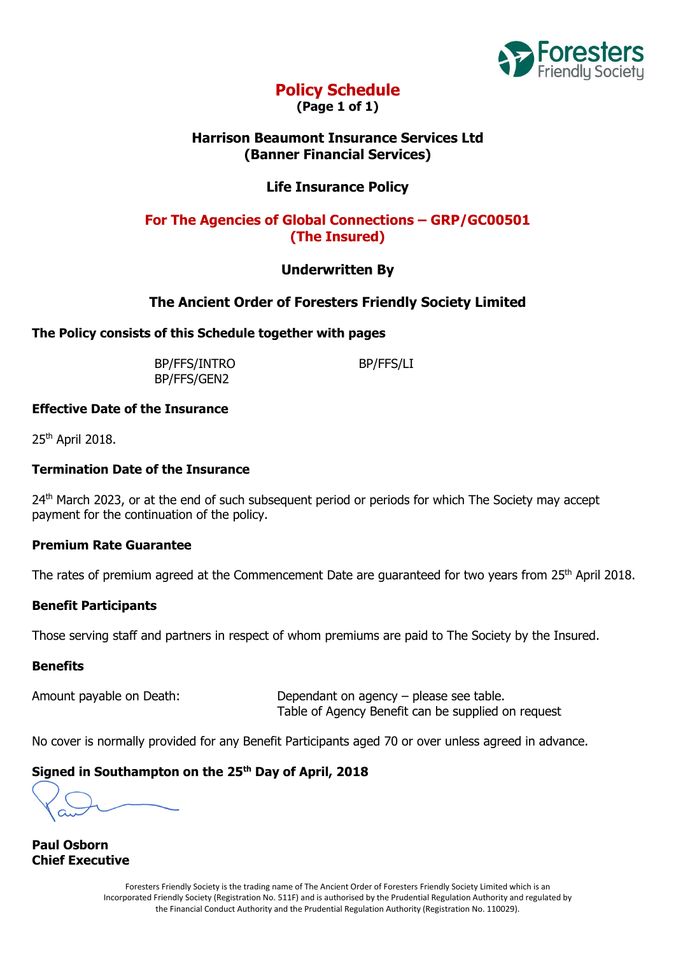

# **Policy Schedule**

**(Page 1 of 1)**

# **Harrison Beaumont Insurance Services Ltd (Banner Financial Services)**

# **Life Insurance Policy**

# **For The Agencies of Global Connections – GRP/GC00501 (The Insured)**

# **Underwritten By**

# **The Ancient Order of Foresters Friendly Society Limited**

## **The Policy consists of this Schedule together with pages**

BP/FFS/INTRO BP/FFS/LI BP/FFS/GEN2

### **Effective Date of the Insurance**

25th April 2018.

## **Termination Date of the Insurance**

24<sup>th</sup> March 2023, or at the end of such subsequent period or periods for which The Society may accept payment for the continuation of the policy.

## **Premium Rate Guarantee**

The rates of premium agreed at the Commencement Date are guaranteed for two years from 25<sup>th</sup> April 2018.

## **Benefit Participants**

Those serving staff and partners in respect of whom premiums are paid to The Society by the Insured.

## **Benefits**

Amount payable on Death: Dependant on agency – please see table. Table of Agency Benefit can be supplied on request

No cover is normally provided for any Benefit Participants aged 70 or over unless agreed in advance.

## **Signed in Southampton on the 25th Day of April, 2018**

**Paul Osborn Chief Executive**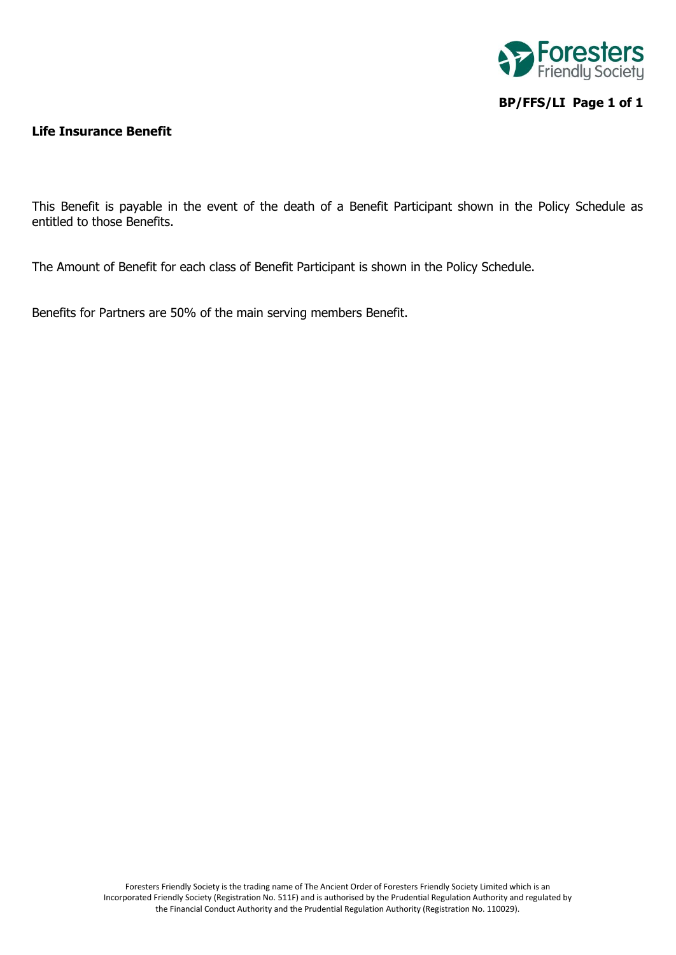

# **BP/FFS/LI Page 1 of 1**

#### **Life Insurance Benefit**

This Benefit is payable in the event of the death of a Benefit Participant shown in the Policy Schedule as entitled to those Benefits.

The Amount of Benefit for each class of Benefit Participant is shown in the Policy Schedule.

Benefits for Partners are 50% of the main serving members Benefit.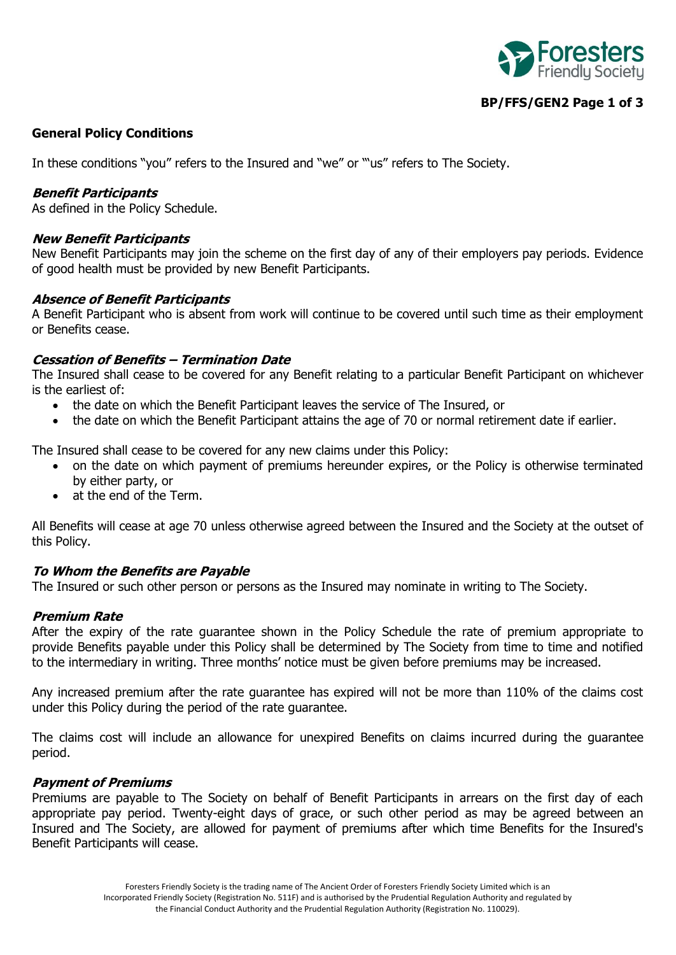

# **BP/FFS/GEN2 Page 1 of 3**

### **General Policy Conditions**

In these conditions "you" refers to the Insured and "we" or "'us" refers to The Society.

#### **Benefit Participants**

As defined in the Policy Schedule.

#### **New Benefit Participants**

New Benefit Participants may join the scheme on the first day of any of their employers pay periods. Evidence of good health must be provided by new Benefit Participants.

#### **Absence of Benefit Participants**

A Benefit Participant who is absent from work will continue to be covered until such time as their employment or Benefits cease.

### **Cessation of Benefits – Termination Date**

The Insured shall cease to be covered for any Benefit relating to a particular Benefit Participant on whichever is the earliest of:

- the date on which the Benefit Participant leaves the service of The Insured, or
- the date on which the Benefit Participant attains the age of 70 or normal retirement date if earlier.

The Insured shall cease to be covered for any new claims under this Policy:

- on the date on which payment of premiums hereunder expires, or the Policy is otherwise terminated by either party, or
- at the end of the Term.

All Benefits will cease at age 70 unless otherwise agreed between the Insured and the Society at the outset of this Policy.

#### **To Whom the Benefits are Payable**

The Insured or such other person or persons as the Insured may nominate in writing to The Society.

#### **Premium Rate**

After the expiry of the rate guarantee shown in the Policy Schedule the rate of premium appropriate to provide Benefits payable under this Policy shall be determined by The Society from time to time and notified to the intermediary in writing. Three months' notice must be given before premiums may be increased.

Any increased premium after the rate guarantee has expired will not be more than 110% of the claims cost under this Policy during the period of the rate guarantee.

The claims cost will include an allowance for unexpired Benefits on claims incurred during the guarantee period.

#### **Payment of Premiums**

Premiums are payable to The Society on behalf of Benefit Participants in arrears on the first day of each appropriate pay period. Twenty-eight days of grace, or such other period as may be agreed between an Insured and The Society, are allowed for payment of premiums after which time Benefits for the Insured's Benefit Participants will cease.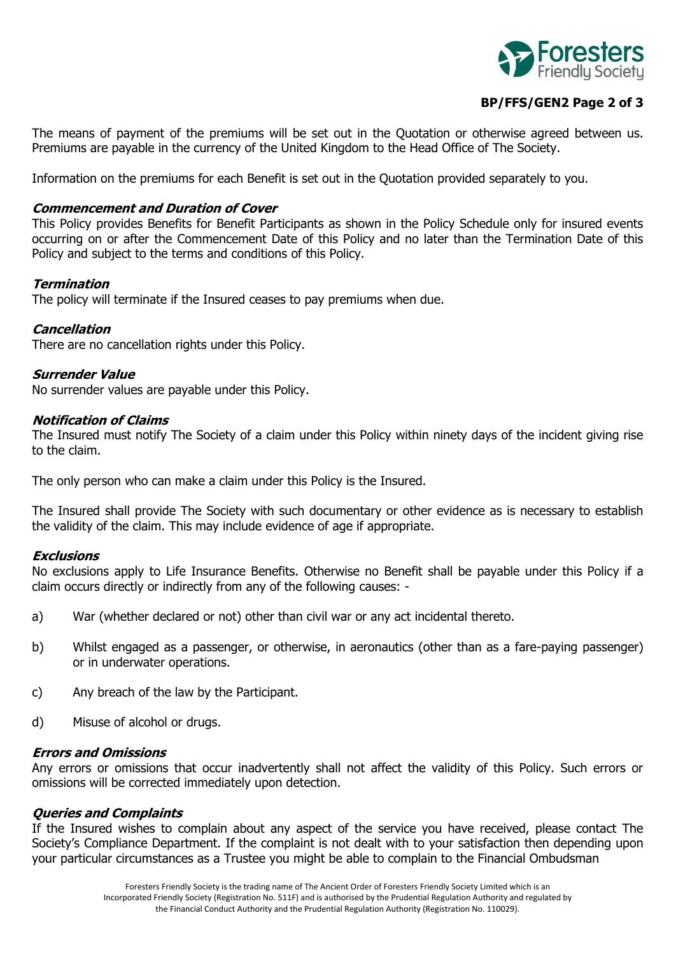

# **BP/FFS/GEN2 Page 2 of 3**

The means of payment of the premiums will be set out in the Quotation or otherwise agreed between us. Premiums are payable in the currency of the United Kingdom to the Head Office of The Society.

Information on the premiums for each Benefit is set out in the Quotation provided separately to you.

#### **Commencement and Duration of Cover**

This Policy provides Benefits for Benefit Participants as shown in the Policy Schedule only for insured events occurring on or after the Commencement Date of this Policy and no later than the Termination Date of this Policy and subject to the terms and conditions of this Policy.

#### **Termination**

The policy will terminate if the Insured ceases to pay premiums when due.

#### **Cancellation**

There are no cancellation rights under this Policy.

#### **Surrender Value**

No surrender values are payable under this Policy.

#### **Notification of Claims**

The Insured must notify The Society of a claim under this Policy within ninety days of the incident giving rise to the claim.

The only person who can make a claim under this Policy is the Insured.

The Insured shall provide The Society with such documentary or other evidence as is necessary to establish the validity of the claim. This may include evidence of age if appropriate.

#### **Exclusions**

No exclusions apply to Life Insurance Benefits. Otherwise no Benefit shall be payable under this Policy if a claim occurs directly or indirectly from any of the following causes: -

- a) War (whether declared or not) other than civil war or any act incidental thereto.
- b) Whilst engaged as a passenger, or otherwise, in aeronautics (other than as a fare-paying passenger) or in underwater operations.
- c) Any breach of the law by the Participant.
- d) Misuse of alcohol or drugs.

### **Errors and Omissions**

Any errors or omissions that occur inadvertently shall not affect the validity of this Policy. Such errors or omissions will be corrected immediately upon detection.

#### **Queries and Complaints**

If the Insured wishes to complain about any aspect of the service you have received, please contact The Society's Compliance Department. If the complaint is not dealt with to your satisfaction then depending upon your particular circumstances as a Trustee you might be able to complain to the Financial Ombudsman